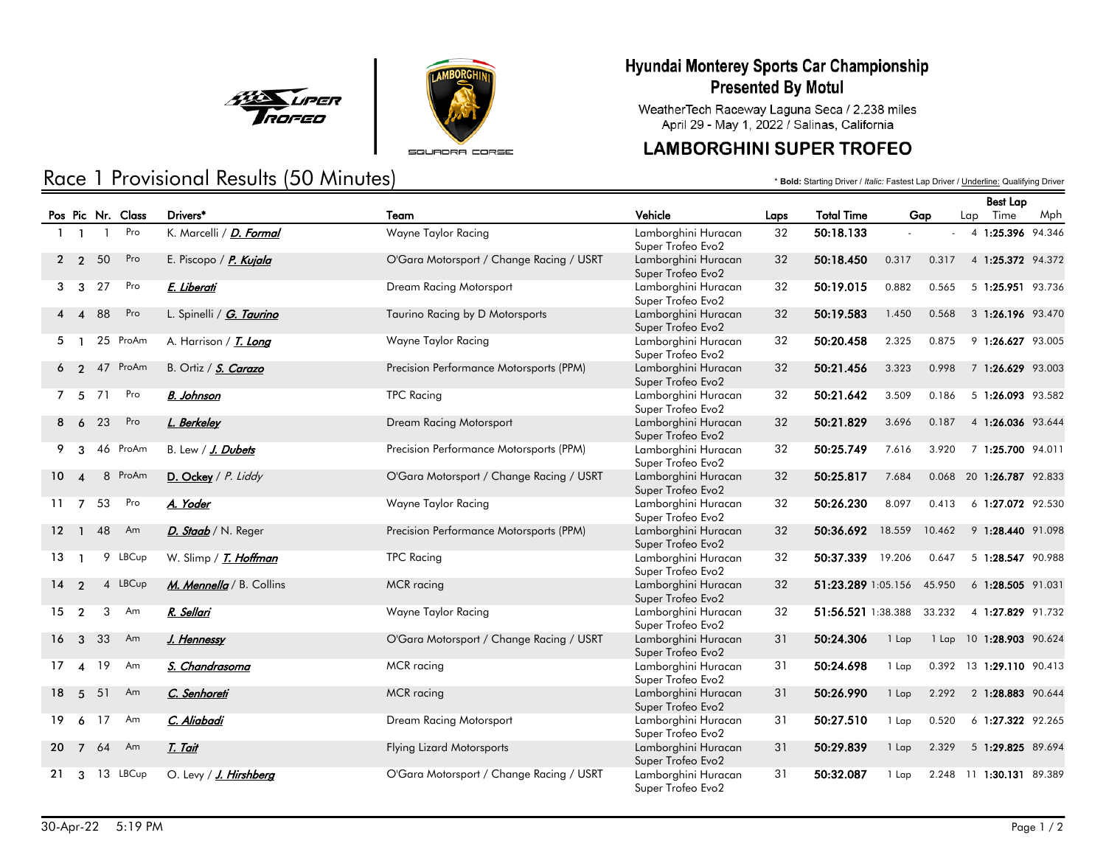



SQUADRA CORSE

# Race 1 Provisional Results (50 Minutes)

### Hyundai Monterey Sports Car Championship **Presented By Motul**

WeatherTech Raceway Laguna Seca / 2.238 miles April 29 - May 1, 2022 / Salinas, California

## **LAMBORGHINI SUPER TROFEO**

\* **Bold:** Starting Driver / *Italic:* Fastest Lap Driver / Underline: Qualifying Driver

|                 |                        |                |                   |                              |                                          |                                          |      |                    |         |        | <b>Best Lap</b>          |     |
|-----------------|------------------------|----------------|-------------------|------------------------------|------------------------------------------|------------------------------------------|------|--------------------|---------|--------|--------------------------|-----|
|                 |                        |                | Pos Pic Nr. Class | Drivers*                     | Team                                     | Vehicle                                  | Laps | <b>Total Time</b>  |         | Gap    | Lap Time                 | Mph |
|                 | $1 \quad 1$            | $\overline{1}$ | Pro               | K. Marcelli / D. Formal      | Wayne Taylor Racing                      | Lamborghini Huracan<br>Super Trofeo Evo2 | 32   | 50:18.133          |         |        | 4 1:25.396 94.346        |     |
|                 | 2 <sub>2</sub>         | 50             | Pro               | E. Piscopo / P. Kujala       | O'Gara Motorsport / Change Racing / USRT | Lamborghini Huracan<br>Super Trofeo Evo2 | 32   | 50:18.450          | 0.317   | 0.317  | 4 1:25.372 94.372        |     |
| 3               | - 3                    | 27             | Pro               | E. Liberati                  | Dream Racing Motorsport                  | Lamborghini Huracan<br>Super Trofeo Evo2 | 32   | 50:19.015          | 0.882   | 0.565  | 5 1:25.951 93.736        |     |
|                 | $\boldsymbol{\Lambda}$ | 88             | Pro               | L. Spinelli / G. Taurino     | Taurino Racing by D Motorsports          | Lamborghini Huracan<br>Super Trofeo Evo2 | 32   | 50:19.583          | 1.450   | 0.568  | 3 1:26.196 93.470        |     |
| 5               |                        |                | 25 ProAm          | A. Harrison / <i>T. Long</i> | Wayne Taylor Racing                      | Lamborghini Huracan<br>Super Trofeo Evo2 | 32   | 50:20.458          | 2.325   | 0.875  | 9 1:26.627 93.005        |     |
|                 | $\overline{2}$         |                | 47 ProAm          | B. Ortiz / S. Carazo         | Precision Performance Motorsports (PPM)  | Lamborghini Huracan<br>Super Trofeo Evo2 | 32   | 50:21.456          | 3.323   | 0.998  | 7 1:26.629 93.003        |     |
|                 | 7 5                    | 71             | Pro               | <b>B.</b> Johnson            | <b>TPC Racing</b>                        | Lamborghini Huracan<br>Super Trofeo Evo2 | 32   | 50:21.642          | 3.509   | 0.186  | 5 1:26.093 93.582        |     |
|                 | - 6                    | 23             | Pro               | L. Berkeley                  | Dream Racing Motorsport                  | Lamborghini Huracan<br>Super Trofeo Evo2 | 32   | 50:21.829          | 3.696   | 0.187  | 4 1:26.036 93.644        |     |
| 9               | 3                      |                | 46 ProAm          | B. Lew / J. Dubets           | Precision Performance Motorsports (PPM)  | Lamborghini Huracan<br>Super Trofeo Evo2 | 32   | 50:25.749          | 7.616   | 3.920  | 7 1:25.700 94.011        |     |
| 10 <sup>°</sup> | $\boldsymbol{\Lambda}$ |                | 8 ProAm           | D. Ockey / P. Liddy          | O'Gara Motorsport / Change Racing / USRT | Lamborghini Huracan<br>Super Trofeo Evo2 | 32   | 50:25.817          | 7.684   |        | 0.068 20 1:26.787 92.833 |     |
|                 | $11 \quad 7$           | 53             | Pro               | A. Yoder                     | Wayne Taylor Racing                      | Lamborghini Huracan<br>Super Trofeo Evo2 | 32   | 50:26.230          | 8.097   | 0.413  | 6 1:27.072 92.530        |     |
| 12 <sup>2</sup> | $\mathbf{1}$           | 48             | Am                | D. Staab / N. Reger          | Precision Performance Motorsports (PPM)  | Lamborghini Huracan<br>Super Trofeo Evo2 | 32   | 50:36.692          | 18.559  | 10.462 | 9 1:28.440 91.098        |     |
| 13              |                        |                | 9 LBCup           | W. Slimp / <i>T. Hoffman</i> | <b>TPC Racing</b>                        | Lamborghini Huracan<br>Super Trofeo Evo2 | 32   | 50:37.339          | 19.206  | 0.647  | 5 1:28.547 90.988        |     |
| 14              | $\mathcal{P}$          |                | 4 LBCup           | M. Mennella / B. Collins     | <b>MCR</b> racing                        | Lamborghini Huracan<br>Super Trofeo Evo2 | 32   | 51:23.289 1:05.156 |         | 45.950 | 6 1:28.505 91.031        |     |
| 15              | $\overline{2}$         |                | 3<br>Am           | R. Sellari                   | Wayne Taylor Racing                      | Lamborghini Huracan<br>Super Trofeo Evo2 | 32   | 51:56.521 1:38.388 |         | 33.232 | 4 1:27.829 91.732        |     |
| 16              | $\mathbf{3}$           | 33             | Am                | J. Hennessy                  | O'Gara Motorsport / Change Racing / USRT | Lamborghini Huracan<br>Super Trofeo Evo2 | 31   | 50:24.306          | 1 Lap   |        | 1 Lap 10 1:28.903 90.624 |     |
| 17              | $\boldsymbol{\Lambda}$ | 19             | Am                | S. Chandrasoma               | MCR racing                               | Lamborghini Huracan<br>Super Trofeo Evo2 | 31   | 50:24.698          | 1 Lap   |        | 0.392 13 1:29.110 90.413 |     |
| 18              | 5                      | 51             | Am                | C. Senhoreti                 | MCR racing                               | Lamborghini Huracan<br>Super Trofeo Evo2 | 31   | 50:26.990          | 1 Lap   | 2.292  | 2 1:28.883 90.644        |     |
| 19              | 6                      | 17             | Am                | C. Aliabadi                  | Dream Racing Motorsport                  | Lamborghini Huracan<br>Super Trofeo Evo2 | 31   | 50:27.510          | 1 Lap   | 0.520  | 6 1:27.322 92.265        |     |
| 20              | $\overline{7}$         | 64             | Am                | <u>T. Tait</u>               | <b>Flying Lizard Motorsports</b>         | Lamborghini Huracan<br>Super Trofeo Evo2 | 31   | 50:29.839          | $1$ Lap | 2.329  | 5 1:29.825 89.694        |     |
| 21              | 3                      |                | 13 LBCup          | O. Levy / J. Hirshberg       | O'Gara Motorsport / Change Racing / USRT | Lamborghini Huracan<br>Super Trofeo Evo2 | 31   | 50:32.087          | 1 Lap   | 2.248  | 11 1:30.131 89.389       |     |